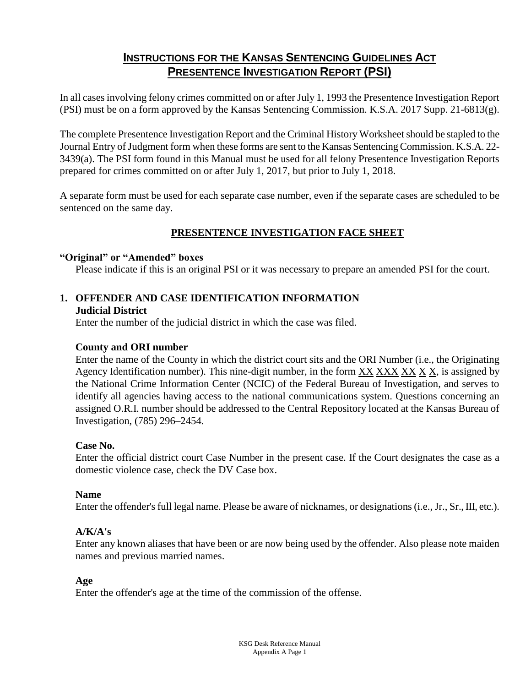# **INSTRUCTIONS FOR THE KANSAS SENTENCING GUIDELINES ACT PRESENTENCE INVESTIGATION REPORT (PSI)**

In all cases involving felony crimes committed on or after July 1, 1993 the Presentence Investigation Report (PSI) must be on a form approved by the Kansas Sentencing Commission. K.S.A. 2017 Supp. 21-6813(g).

The complete Presentence Investigation Report and the Criminal History Worksheet should be stapled to the Journal Entry of Judgment form when these forms are sent to the Kansas Sentencing Commission. K.S.A. 22- 3439(a). The PSI form found in this Manual must be used for all felony Presentence Investigation Reports prepared for crimes committed on or after July 1, 2017, but prior to July 1, 2018.

A separate form must be used for each separate case number, even if the separate cases are scheduled to be sentenced on the same day.

## **PRESENTENCE INVESTIGATION FACE SHEET**

#### **"Original" or "Amended" boxes**

Please indicate if this is an original PSI or it was necessary to prepare an amended PSI for the court.

#### **1. OFFENDER AND CASE IDENTIFICATION INFORMATION Judicial District**

Enter the number of the judicial district in which the case was filed.

### **County and ORI number**

Enter the name of the County in which the district court sits and the ORI Number (i.e., the Originating Agency Identification number). This nine-digit number, in the form  $\frac{XX}{XX}$   $\frac{XX}{XX}$   $\frac{X}{X}$ , is assigned by the National Crime Information Center (NCIC) of the Federal Bureau of Investigation, and serves to identify all agencies having access to the national communications system. Questions concerning an assigned O.R.I. number should be addressed to the Central Repository located at the Kansas Bureau of Investigation, (785) 296–2454.

### **Case No.**

Enter the official district court Case Number in the present case. If the Court designates the case as a domestic violence case, check the DV Case box.

### **Name**

Enter the offender's full legal name. Please be aware of nicknames, or designations (i.e., Jr., Sr., III, etc.).

### **A/K/A's**

Enter any known aliases that have been or are now being used by the offender. Also please note maiden names and previous married names.

### **Age**

Enter the offender's age at the time of the commission of the offense.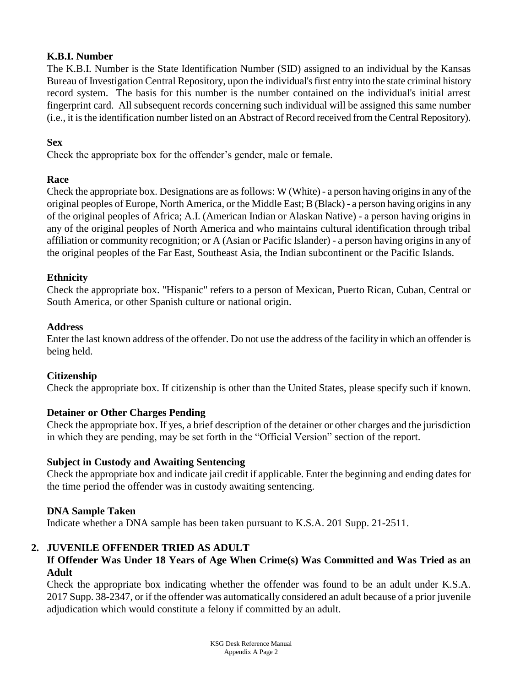## **K.B.I. Number**

The K.B.I. Number is the State Identification Number (SID) assigned to an individual by the Kansas Bureau of Investigation Central Repository, upon the individual's first entry into the state criminal history record system. The basis for this number is the number contained on the individual's initial arrest fingerprint card. All subsequent records concerning such individual will be assigned this same number (i.e., it is the identification number listed on an Abstract of Record received from the Central Repository).

### **Sex**

Check the appropriate box for the offender's gender, male or female.

### **Race**

Check the appropriate box. Designations are as follows: W (White) - a person having origins in any of the original peoples of Europe, North America, or the Middle East; B (Black) - a person having origins in any of the original peoples of Africa; A.I. (American Indian or Alaskan Native) - a person having origins in any of the original peoples of North America and who maintains cultural identification through tribal affiliation or community recognition; or A (Asian or Pacific Islander) - a person having origins in any of the original peoples of the Far East, Southeast Asia, the Indian subcontinent or the Pacific Islands.

### **Ethnicity**

Check the appropriate box. "Hispanic" refers to a person of Mexican, Puerto Rican, Cuban, Central or South America, or other Spanish culture or national origin.

### **Address**

Enter the last known address of the offender. Do not use the address of the facility in which an offender is being held.

### **Citizenship**

Check the appropriate box. If citizenship is other than the United States, please specify such if known.

### **Detainer or Other Charges Pending**

Check the appropriate box. If yes, a brief description of the detainer or other charges and the jurisdiction in which they are pending, may be set forth in the "Official Version" section of the report.

### **Subject in Custody and Awaiting Sentencing**

Check the appropriate box and indicate jail credit if applicable. Enter the beginning and ending dates for the time period the offender was in custody awaiting sentencing.

### **DNA Sample Taken**

Indicate whether a DNA sample has been taken pursuant to K.S.A. 201 Supp. 21-2511.

## **2. JUVENILE OFFENDER TRIED AS ADULT**

### **If Offender Was Under 18 Years of Age When Crime(s) Was Committed and Was Tried as an Adult**

Check the appropriate box indicating whether the offender was found to be an adult under K.S.A. 2017 Supp. 38-2347, or if the offender was automatically considered an adult because of a prior juvenile adjudication which would constitute a felony if committed by an adult.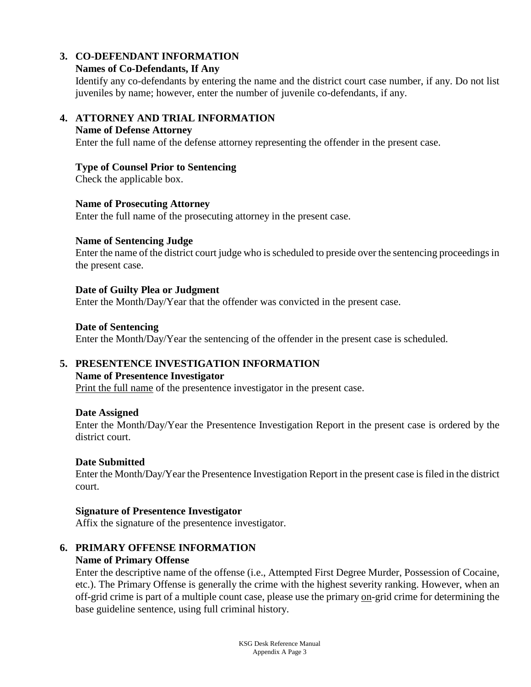## **3. CO-DEFENDANT INFORMATION**

#### **Names of Co-Defendants, If Any**

Identify any co-defendants by entering the name and the district court case number, if any. Do not list juveniles by name; however, enter the number of juvenile co-defendants, if any.

### **4. ATTORNEY AND TRIAL INFORMATION**

#### **Name of Defense Attorney**

Enter the full name of the defense attorney representing the offender in the present case.

#### **Type of Counsel Prior to Sentencing**

Check the applicable box.

#### **Name of Prosecuting Attorney**

Enter the full name of the prosecuting attorney in the present case.

#### **Name of Sentencing Judge**

Enter the name of the district court judge who is scheduled to preside over the sentencing proceedings in the present case.

#### **Date of Guilty Plea or Judgment**

Enter the Month/Day/Year that the offender was convicted in the present case.

#### **Date of Sentencing**

Enter the Month/Day/Year the sentencing of the offender in the present case is scheduled.

### **5. PRESENTENCE INVESTIGATION INFORMATION**

#### **Name of Presentence Investigator**

Print the full name of the presentence investigator in the present case.

#### **Date Assigned**

Enter the Month/Day/Year the Presentence Investigation Report in the present case is ordered by the district court.

### **Date Submitted**

Enter the Month/Day/Year the Presentence Investigation Report in the present case is filed in the district court.

#### **Signature of Presentence Investigator**

Affix the signature of the presentence investigator.

### **6. PRIMARY OFFENSE INFORMATION**

### **Name of Primary Offense**

Enter the descriptive name of the offense (i.e., Attempted First Degree Murder, Possession of Cocaine, etc.). The Primary Offense is generally the crime with the highest severity ranking. However, when an off-grid crime is part of a multiple count case, please use the primary on-grid crime for determining the base guideline sentence, using full criminal history.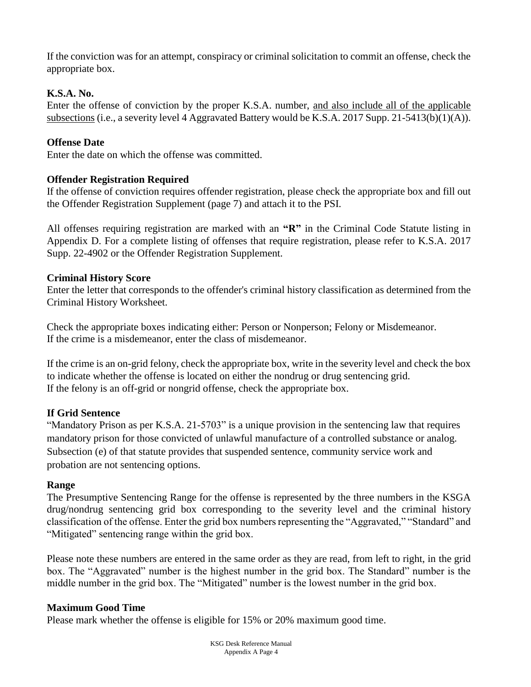If the conviction was for an attempt, conspiracy or criminal solicitation to commit an offense, check the appropriate box.

### **K.S.A. No.**

Enter the offense of conviction by the proper K.S.A. number, and also include all of the applicable subsections (i.e., a severity level 4 Aggravated Battery would be K.S.A. 2017 Supp. 21-5413(b)(1)(A)).

### **Offense Date**

Enter the date on which the offense was committed.

### **Offender Registration Required**

If the offense of conviction requires offender registration, please check the appropriate box and fill out the Offender Registration Supplement (page 7) and attach it to the PSI.

All offenses requiring registration are marked with an **"R"** in the Criminal Code Statute listing in Appendix D. For a complete listing of offenses that require registration, please refer to K.S.A. 2017 Supp. 22-4902 or the Offender Registration Supplement.

### **Criminal History Score**

Enter the letter that corresponds to the offender's criminal history classification as determined from the Criminal History Worksheet.

Check the appropriate boxes indicating either: Person or Nonperson; Felony or Misdemeanor. If the crime is a misdemeanor, enter the class of misdemeanor.

If the crime is an on-grid felony, check the appropriate box, write in the severity level and check the box to indicate whether the offense is located on either the nondrug or drug sentencing grid. If the felony is an off-grid or nongrid offense, check the appropriate box.

### **If Grid Sentence**

"Mandatory Prison as per K.S.A. 21-5703" is a unique provision in the sentencing law that requires mandatory prison for those convicted of unlawful manufacture of a controlled substance or analog. Subsection (e) of that statute provides that suspended sentence, community service work and probation are not sentencing options.

### **Range**

The Presumptive Sentencing Range for the offense is represented by the three numbers in the KSGA drug/nondrug sentencing grid box corresponding to the severity level and the criminal history classification of the offense. Enter the grid box numbers representing the "Aggravated," "Standard" and "Mitigated" sentencing range within the grid box.

Please note these numbers are entered in the same order as they are read, from left to right, in the grid box. The "Aggravated" number is the highest number in the grid box. The Standard" number is the middle number in the grid box. The "Mitigated" number is the lowest number in the grid box.

### **Maximum Good Time**

Please mark whether the offense is eligible for 15% or 20% maximum good time.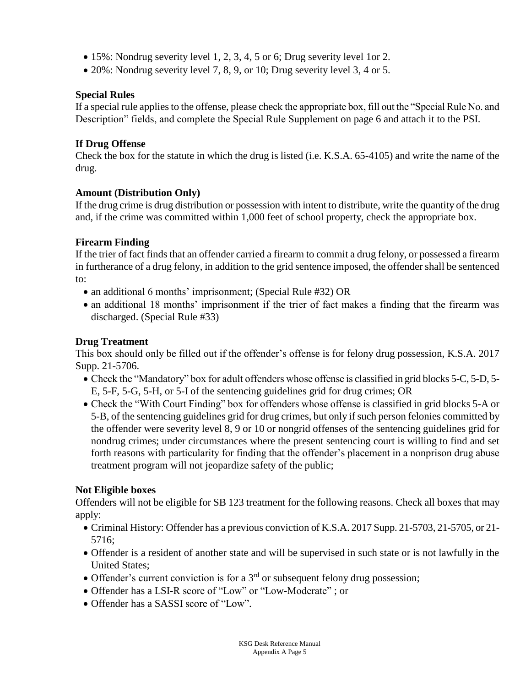- 15%: Nondrug severity level 1, 2, 3, 4, 5 or 6; Drug severity level 1or 2.
- 20%: Nondrug severity level 7, 8, 9, or 10; Drug severity level 3, 4 or 5.

### **Special Rules**

If a special rule applies to the offense, please check the appropriate box, fill out the "Special Rule No. and Description" fields, and complete the Special Rule Supplement on page 6 and attach it to the PSI.

### **If Drug Offense**

Check the box for the statute in which the drug is listed (i.e. K.S.A. 65-4105) and write the name of the drug.

### **Amount (Distribution Only)**

If the drug crime is drug distribution or possession with intent to distribute, write the quantity of the drug and, if the crime was committed within 1,000 feet of school property, check the appropriate box.

### **Firearm Finding**

If the trier of fact finds that an offender carried a firearm to commit a drug felony, or possessed a firearm in furtherance of a drug felony, in addition to the grid sentence imposed, the offender shall be sentenced to:

- an additional 6 months' imprisonment; (Special Rule #32) OR
- an additional 18 months' imprisonment if the trier of fact makes a finding that the firearm was discharged. (Special Rule #33)

### **Drug Treatment**

This box should only be filled out if the offender's offense is for felony drug possession, K.S.A. 2017 Supp. 21-5706.

- Check the "Mandatory" box for adult offenders whose offense is classified in grid blocks 5-C, 5-D, 5- E, 5-F, 5-G, 5-H, or 5-I of the sentencing guidelines grid for drug crimes; OR
- Check the "With Court Finding" box for offenders whose offense is classified in grid blocks 5-A or 5-B, of the sentencing guidelines grid for drug crimes, but only if such person felonies committed by the offender were severity level 8, 9 or 10 or nongrid offenses of the sentencing guidelines grid for nondrug crimes; under circumstances where the present sentencing court is willing to find and set forth reasons with particularity for finding that the offender's placement in a nonprison drug abuse treatment program will not jeopardize safety of the public;

## **Not Eligible boxes**

Offenders will not be eligible for SB 123 treatment for the following reasons. Check all boxes that may apply:

- Criminal History: Offender has a previous conviction of K.S.A. 2017 Supp. 21-5703, 21-5705, or 21- 5716;
- Offender is a resident of another state and will be supervised in such state or is not lawfully in the United States;
- Offender's current conviction is for a  $3<sup>rd</sup>$  or subsequent felony drug possession;
- Offender has a LSI-R score of "Low" or "Low-Moderate" ; or
- Offender has a SASSI score of "Low".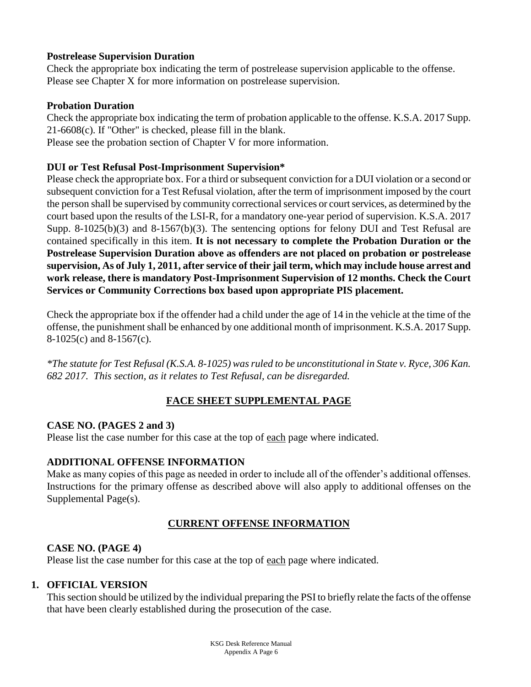### **Postrelease Supervision Duration**

Check the appropriate box indicating the term of postrelease supervision applicable to the offense. Please see Chapter X for more information on postrelease supervision.

### **Probation Duration**

Check the appropriate box indicating the term of probation applicable to the offense. K.S.A. 2017 Supp. 21-6608(c). If "Other" is checked, please fill in the blank. Please see the probation section of Chapter V for more information.

### **DUI or Test Refusal Post-Imprisonment Supervision\***

Please check the appropriate box. For a third or subsequent conviction for a DUI violation or a second or subsequent conviction for a Test Refusal violation, after the term of imprisonment imposed by the court the person shall be supervised by community correctional services or court services, as determined by the court based upon the results of the LSI-R, for a mandatory one-year period of supervision. K.S.A. 2017 Supp. 8-1025(b)(3) and 8-1567(b)(3). The sentencing options for felony DUI and Test Refusal are contained specifically in this item. **It is not necessary to complete the Probation Duration or the Postrelease Supervision Duration above as offenders are not placed on probation or postrelease supervision, As of July 1, 2011, after service of their jail term, which may include house arrest and work release, there is mandatory Post-Imprisonment Supervision of 12 months. Check the Court Services or Community Corrections box based upon appropriate PIS placement.**

Check the appropriate box if the offender had a child under the age of 14 in the vehicle at the time of the offense, the punishment shall be enhanced by one additional month of imprisonment. K.S.A. 2017 Supp. 8-1025(c) and 8-1567(c).

*\*The statute for Test Refusal (K.S.A. 8-1025) was ruled to be unconstitutional in State v. Ryce, 306 Kan. 682 2017. This section, as it relates to Test Refusal, can be disregarded.* 

## **FACE SHEET SUPPLEMENTAL PAGE**

## **CASE NO. (PAGES 2 and 3)**

Please list the case number for this case at the top of each page where indicated.

### **ADDITIONAL OFFENSE INFORMATION**

Make as many copies of this page as needed in order to include all of the offender's additional offenses. Instructions for the primary offense as described above will also apply to additional offenses on the Supplemental Page(s).

## **CURRENT OFFENSE INFORMATION**

## **CASE NO. (PAGE 4)**

Please list the case number for this case at the top of each page where indicated.

## **1. OFFICIAL VERSION**

This section should be utilized by the individual preparing the PSI to briefly relate the facts of the offense that have been clearly established during the prosecution of the case.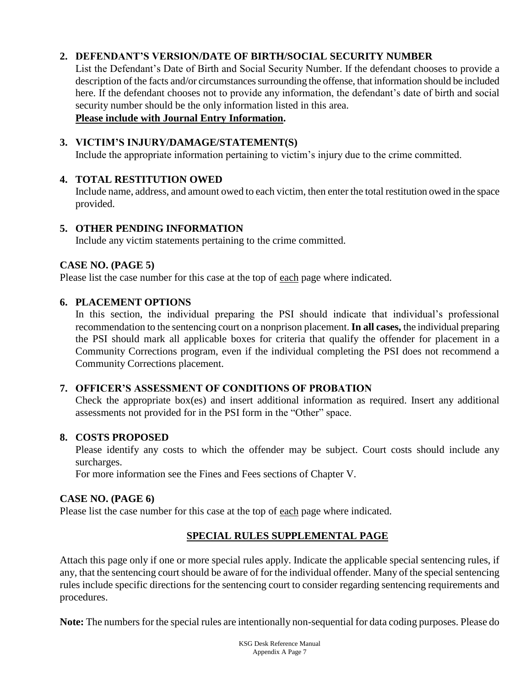## **2. DEFENDANT'S VERSION/DATE OF BIRTH/SOCIAL SECURITY NUMBER**

List the Defendant's Date of Birth and Social Security Number. If the defendant chooses to provide a description of the facts and/or circumstances surrounding the offense, that information should be included here. If the defendant chooses not to provide any information, the defendant's date of birth and social security number should be the only information listed in this area.

### **Please include with Journal Entry Information.**

## **3. VICTIM'S INJURY/DAMAGE/STATEMENT(S)**

Include the appropriate information pertaining to victim's injury due to the crime committed.

### **4. TOTAL RESTITUTION OWED**

Include name, address, and amount owed to each victim, then enter the total restitution owed in the space provided.

### **5. OTHER PENDING INFORMATION**

Include any victim statements pertaining to the crime committed.

### **CASE NO. (PAGE 5)**

Please list the case number for this case at the top of each page where indicated.

### **6. PLACEMENT OPTIONS**

In this section, the individual preparing the PSI should indicate that individual's professional recommendation to the sentencing court on a nonprison placement. **In all cases,** the individual preparing the PSI should mark all applicable boxes for criteria that qualify the offender for placement in a Community Corrections program, even if the individual completing the PSI does not recommend a Community Corrections placement.

### **7. OFFICER'S ASSESSMENT OF CONDITIONS OF PROBATION**

Check the appropriate box(es) and insert additional information as required. Insert any additional assessments not provided for in the PSI form in the "Other" space.

### **8. COSTS PROPOSED**

Please identify any costs to which the offender may be subject. Court costs should include any surcharges.

For more information see the Fines and Fees sections of Chapter V.

### **CASE NO. (PAGE 6)**

Please list the case number for this case at the top of each page where indicated.

## **SPECIAL RULES SUPPLEMENTAL PAGE**

Attach this page only if one or more special rules apply. Indicate the applicable special sentencing rules, if any, that the sentencing court should be aware of for the individual offender. Many of the special sentencing rules include specific directions for the sentencing court to consider regarding sentencing requirements and procedures.

**Note:** The numbers for the special rules are intentionally non-sequential for data coding purposes. Please do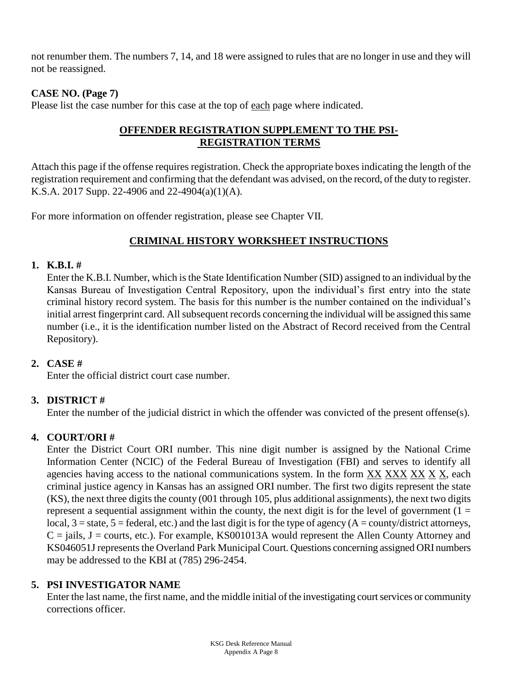not renumber them. The numbers 7, 14, and 18 were assigned to rules that are no longer in use and they will not be reassigned.

## **CASE NO. (Page 7)**

Please list the case number for this case at the top of each page where indicated.

## **OFFENDER REGISTRATION SUPPLEMENT TO THE PSI-REGISTRATION TERMS**

Attach this page if the offense requires registration. Check the appropriate boxes indicating the length of the registration requirement and confirming that the defendant was advised, on the record, of the duty to register. K.S.A. 2017 Supp. 22-4906 and 22-4904(a)(1)(A).

For more information on offender registration, please see Chapter VII.

### **CRIMINAL HISTORY WORKSHEET INSTRUCTIONS**

#### **1. K.B.I. #**

Enter the K.B.I. Number, which is the State Identification Number (SID) assigned to an individual by the Kansas Bureau of Investigation Central Repository, upon the individual's first entry into the state criminal history record system. The basis for this number is the number contained on the individual's initial arrest fingerprint card. All subsequent records concerning the individual will be assigned this same number (i.e., it is the identification number listed on the Abstract of Record received from the Central Repository).

### **2. CASE #**

Enter the official district court case number.

### **3. DISTRICT #**

Enter the number of the judicial district in which the offender was convicted of the present offense(s).

### **4. COURT/ORI #**

Enter the District Court ORI number. This nine digit number is assigned by the National Crime Information Center (NCIC) of the Federal Bureau of Investigation (FBI) and serves to identify all agencies having access to the national communications system. In the form XX XXX XX X X, each criminal justice agency in Kansas has an assigned ORI number. The first two digits represent the state (KS), the next three digits the county (001 through 105, plus additional assignments), the next two digits represent a sequential assignment within the county, the next digit is for the level of government  $(1 =$ local,  $3 =$  state,  $5 =$  federal, etc.) and the last digit is for the type of agency (A = county/district attorneys,  $C = \text{jails}, J = \text{counts}, \text{etc.}$ ). For example, KS001013A would represent the Allen County Attorney and KS046051J represents the Overland Park Municipal Court. Questions concerning assigned ORI numbers may be addressed to the KBI at (785) 296-2454.

## **5. PSI INVESTIGATOR NAME**

Enter the last name, the first name, and the middle initial of the investigating court services or community corrections officer.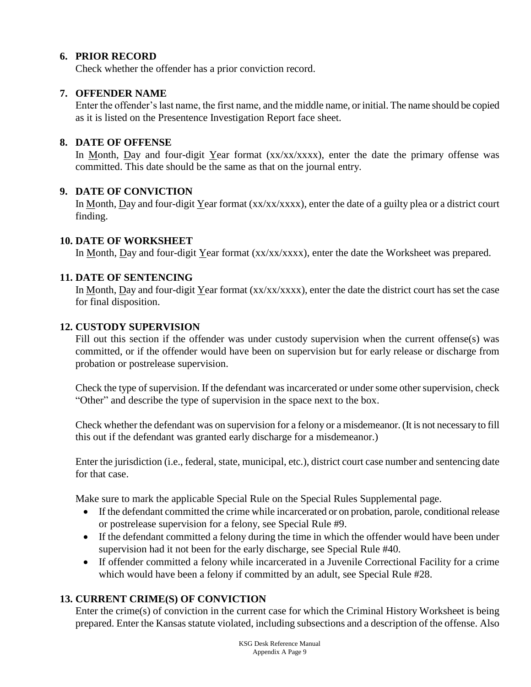### **6. PRIOR RECORD**

Check whether the offender has a prior conviction record.

#### **7. OFFENDER NAME**

Enter the offender's last name, the first name, and the middle name, or initial. The name should be copied as it is listed on the Presentence Investigation Report face sheet.

#### **8. DATE OF OFFENSE**

In Month, Day and four-digit Year format  $(xx/xxxxx)$ , enter the date the primary offense was committed. This date should be the same as that on the journal entry.

### **9. DATE OF CONVICTION**

In Month, Day and four-digit Year format (xx/xx/xxxx), enter the date of a guilty plea or a district court finding.

#### **10. DATE OF WORKSHEET**

In Month, Day and four-digit Year format (xx/xx/xxxx), enter the date the Worksheet was prepared.

#### **11. DATE OF SENTENCING**

In Month, Day and four-digit Year format  $(xx/xxxxx)$ , enter the date the district court has set the case for final disposition.

#### **12. CUSTODY SUPERVISION**

Fill out this section if the offender was under custody supervision when the current offense(s) was committed, or if the offender would have been on supervision but for early release or discharge from probation or postrelease supervision.

Check the type of supervision. If the defendant was incarcerated or under some other supervision, check "Other" and describe the type of supervision in the space next to the box.

Check whether the defendant was on supervision for a felony or a misdemeanor. (It is not necessary to fill this out if the defendant was granted early discharge for a misdemeanor.)

Enter the jurisdiction (i.e., federal, state, municipal, etc.), district court case number and sentencing date for that case.

Make sure to mark the applicable Special Rule on the Special Rules Supplemental page.

- If the defendant committed the crime while incarcerated or on probation, parole, conditional release or postrelease supervision for a felony, see Special Rule #9.
- If the defendant committed a felony during the time in which the offender would have been under supervision had it not been for the early discharge, see Special Rule #40.
- If offender committed a felony while incarcerated in a Juvenile Correctional Facility for a crime which would have been a felony if committed by an adult, see Special Rule #28.

### **13. CURRENT CRIME(S) OF CONVICTION**

Enter the crime(s) of conviction in the current case for which the Criminal History Worksheet is being prepared. Enter the Kansas statute violated, including subsections and a description of the offense. Also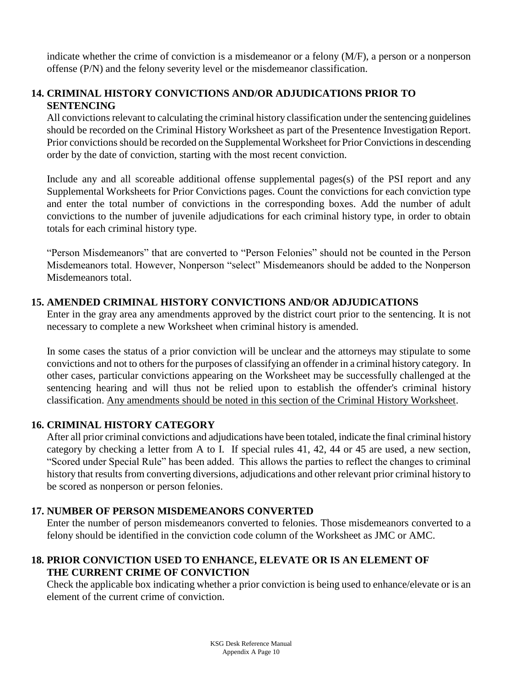indicate whether the crime of conviction is a misdemeanor or a felony (M/F), a person or a nonperson offense (P/N) and the felony severity level or the misdemeanor classification.

## **14. CRIMINAL HISTORY CONVICTIONS AND/OR ADJUDICATIONS PRIOR TO SENTENCING**

All convictions relevant to calculating the criminal history classification under the sentencing guidelines should be recorded on the Criminal History Worksheet as part of the Presentence Investigation Report. Prior convictions should be recorded on the Supplemental Worksheet for Prior Convictions in descending order by the date of conviction, starting with the most recent conviction.

Include any and all scoreable additional offense supplemental pages(s) of the PSI report and any Supplemental Worksheets for Prior Convictions pages. Count the convictions for each conviction type and enter the total number of convictions in the corresponding boxes. Add the number of adult convictions to the number of juvenile adjudications for each criminal history type, in order to obtain totals for each criminal history type.

"Person Misdemeanors" that are converted to "Person Felonies" should not be counted in the Person Misdemeanors total. However, Nonperson "select" Misdemeanors should be added to the Nonperson Misdemeanors total.

### **15. AMENDED CRIMINAL HISTORY CONVICTIONS AND/OR ADJUDICATIONS**

Enter in the gray area any amendments approved by the district court prior to the sentencing. It is not necessary to complete a new Worksheet when criminal history is amended.

In some cases the status of a prior conviction will be unclear and the attorneys may stipulate to some convictions and not to others for the purposes of classifying an offender in a criminal history category. In other cases, particular convictions appearing on the Worksheet may be successfully challenged at the sentencing hearing and will thus not be relied upon to establish the offender's criminal history classification. Any amendments should be noted in this section of the Criminal History Worksheet.

### **16. CRIMINAL HISTORY CATEGORY**

After all prior criminal convictions and adjudications have been totaled, indicate the final criminal history category by checking a letter from A to I. If special rules 41, 42, 44 or 45 are used, a new section, "Scored under Special Rule" has been added. This allows the parties to reflect the changes to criminal history that results from converting diversions, adjudications and other relevant prior criminal history to be scored as nonperson or person felonies.

## **17. NUMBER OF PERSON MISDEMEANORS CONVERTED**

Enter the number of person misdemeanors converted to felonies. Those misdemeanors converted to a felony should be identified in the conviction code column of the Worksheet as JMC or AMC.

## **18. PRIOR CONVICTION USED TO ENHANCE, ELEVATE OR IS AN ELEMENT OF THE CURRENT CRIME OF CONVICTION**

Check the applicable box indicating whether a prior conviction is being used to enhance/elevate or is an element of the current crime of conviction.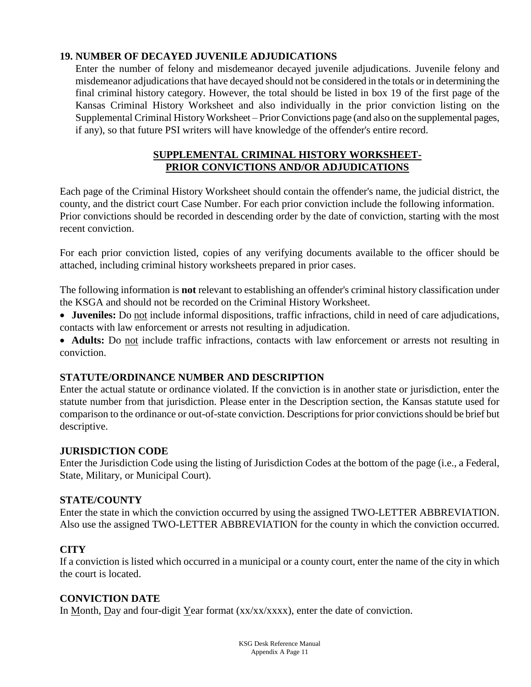### **19. NUMBER OF DECAYED JUVENILE ADJUDICATIONS**

Enter the number of felony and misdemeanor decayed juvenile adjudications. Juvenile felony and misdemeanor adjudications that have decayed should not be considered in the totals or in determining the final criminal history category. However, the total should be listed in box 19 of the first page of the Kansas Criminal History Worksheet and also individually in the prior conviction listing on the Supplemental Criminal History Worksheet – Prior Convictions page (and also on the supplemental pages, if any), so that future PSI writers will have knowledge of the offender's entire record.

### **SUPPLEMENTAL CRIMINAL HISTORY WORKSHEET-PRIOR CONVICTIONS AND/OR ADJUDICATIONS**

Each page of the Criminal History Worksheet should contain the offender's name, the judicial district, the county, and the district court Case Number. For each prior conviction include the following information. Prior convictions should be recorded in descending order by the date of conviction, starting with the most recent conviction.

For each prior conviction listed, copies of any verifying documents available to the officer should be attached, including criminal history worksheets prepared in prior cases.

The following information is **not** relevant to establishing an offender's criminal history classification under the KSGA and should not be recorded on the Criminal History Worksheet.

 **Juveniles:** Do not include informal dispositions, traffic infractions, child in need of care adjudications, contacts with law enforcement or arrests not resulting in adjudication.

• **Adults:** Do not include traffic infractions, contacts with law enforcement or arrests not resulting in conviction.

### **STATUTE/ORDINANCE NUMBER AND DESCRIPTION**

Enter the actual statute or ordinance violated. If the conviction is in another state or jurisdiction, enter the statute number from that jurisdiction. Please enter in the Description section, the Kansas statute used for comparison to the ordinance or out-of-state conviction. Descriptions for prior convictions should be brief but descriptive.

### **JURISDICTION CODE**

Enter the Jurisdiction Code using the listing of Jurisdiction Codes at the bottom of the page (i.e., a Federal, State, Military, or Municipal Court).

### **STATE/COUNTY**

Enter the state in which the conviction occurred by using the assigned TWO-LETTER ABBREVIATION. Also use the assigned TWO-LETTER ABBREVIATION for the county in which the conviction occurred.

## **CITY**

If a conviction is listed which occurred in a municipal or a county court, enter the name of the city in which the court is located.

## **CONVICTION DATE**

In Month, Day and four-digit Year format  $(xx/xx/xxxx)$ , enter the date of conviction.